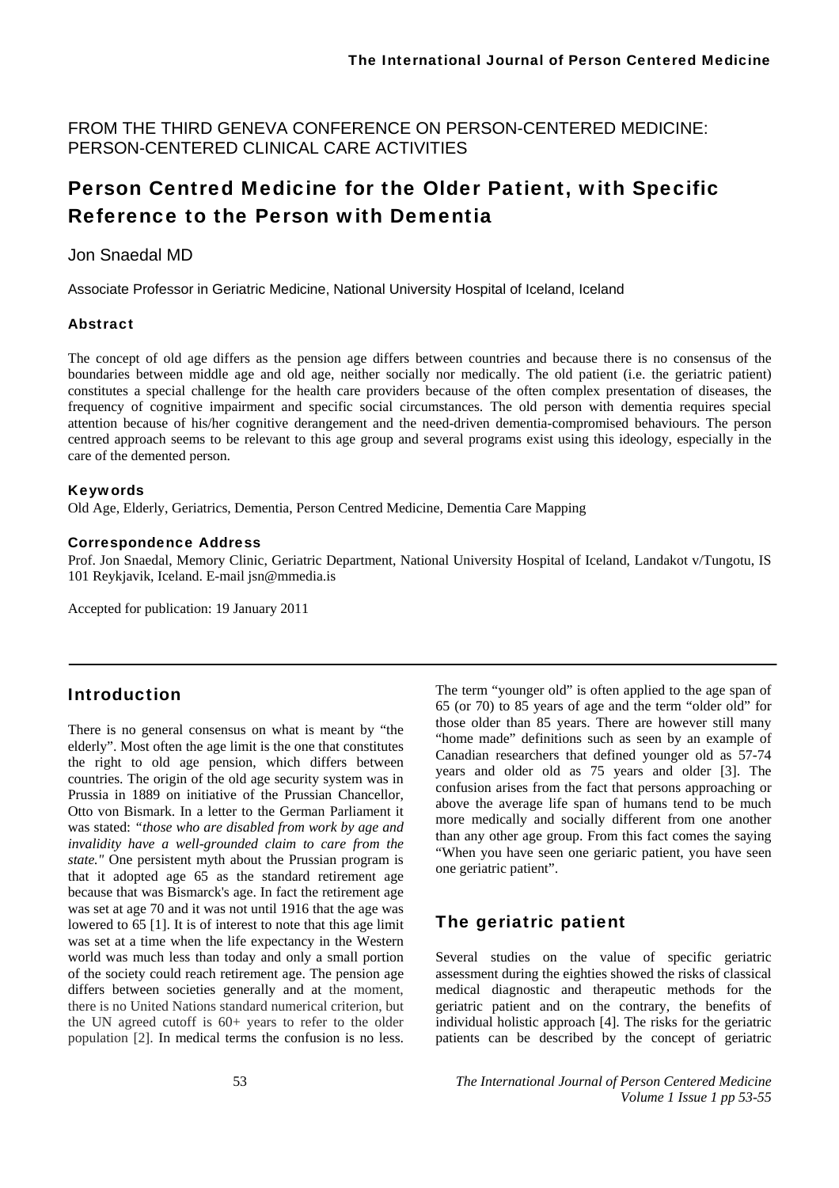FROM THE THIRD GENEVA CONFERENCE ON PERSON-CENTERED MEDICINE: PERSON-CENTERED CLINICAL CARE ACTIVITIES

# Person Centred Medicine for the Older Patient, with Specific Reference to the Person with Dementia

## Jon Snaedal MD

Associate Professor in Geriatric Medicine, National University Hospital of Iceland, Iceland

#### Abstract

The concept of old age differs as the pension age differs between countries and because there is no consensus of the boundaries between middle age and old age, neither socially nor medically. The old patient (i.e. the geriatric patient) constitutes a special challenge for the health care providers because of the often complex presentation of diseases, the frequency of cognitive impairment and specific social circumstances. The old person with dementia requires special attention because of his/her cognitive derangement and the need-driven dementia-compromised behaviours. The person centred approach seems to be relevant to this age group and several programs exist using this ideology, especially in the care of the demented person.

#### Keywords

Old Age, Elderly, Geriatrics, Dementia, Person Centred Medicine, Dementia Care Mapping

#### Correspondence Address

Prof. Jon Snaedal, Memory Clinic, Geriatric Department, National University Hospital of Iceland, Landakot v/Tungotu, IS 101 Reykjavik, Iceland. E-mail jsn@mmedia.is

Accepted for publication: 19 January 2011

## Introduction

There is no general consensus on what is meant by "the elderly". Most often the age limit is the one that constitutes the right to old age pension, which differs between countries. The origin of the old age security system was in Prussia in 1889 on initiative of the Prussian Chancellor, Otto von Bismark. In a letter to the German Parliament it was stated: *"those who are disabled from work by age and invalidity have a well-grounded claim to care from the state."* One persistent myth about the Prussian program is that it adopted age 65 as the standard retirement age because that was Bismarck's age. In fact the retirement age was set at age 70 and it was not until 1916 that the age was lowered to 65 [1]. It is of interest to note that this age limit was set at a time when the life expectancy in the Western world was much less than today and only a small portion of the society could reach retirement age. The pension age differs between societies generally and at the moment, there is no United Nations standard numerical criterion, but the UN agreed cutoff is 60+ years to refer to the older population [2]. In medical terms the confusion is no less.

The term "younger old" is often applied to the age span of 65 (or 70) to 85 years of age and the term "older old" for those older than 85 years. There are however still many "home made" definitions such as seen by an example of Canadian researchers that defined younger old as 57-74 years and older old as 75 years and older [3]. The confusion arises from the fact that persons approaching or above the average life span of humans tend to be much more medically and socially different from one another than any other age group. From this fact comes the saying "When you have seen one geriaric patient, you have seen one geriatric patient".

# The geriatric patient

Several studies on the value of specific geriatric assessment during the eighties showed the risks of classical medical diagnostic and therapeutic methods for the geriatric patient and on the contrary, the benefits of individual holistic approach [4]. The risks for the geriatric patients can be described by the concept of geriatric

53 *The International Journal of Person Centered Medicine Volume 1 Issue 1 pp 53-55*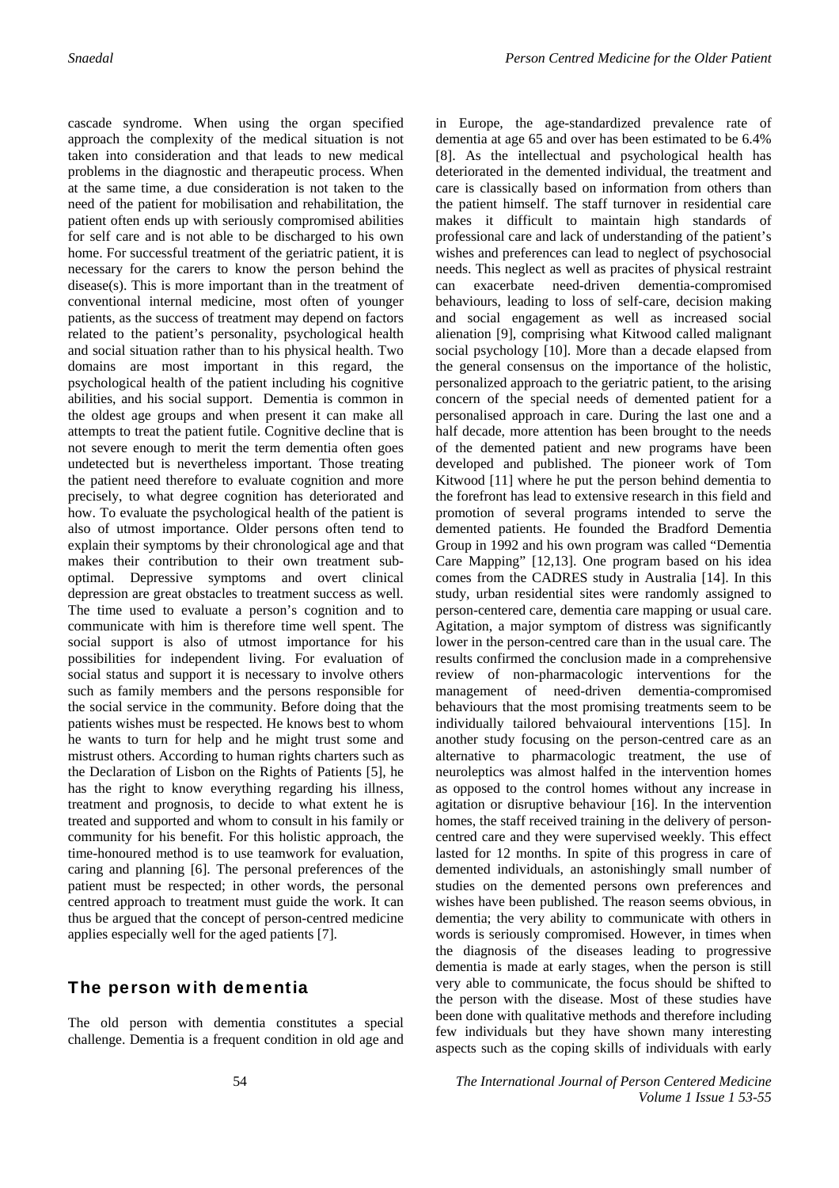cascade syndrome. When using the organ specified approach the complexity of the medical situation is not taken into consideration and that leads to new medical problems in the diagnostic and therapeutic process. When at the same time, a due consideration is not taken to the need of the patient for mobilisation and rehabilitation, the patient often ends up with seriously compromised abilities for self care and is not able to be discharged to his own home. For successful treatment of the geriatric patient, it is necessary for the carers to know the person behind the disease(s). This is more important than in the treatment of conventional internal medicine, most often of younger patients, as the success of treatment may depend on factors related to the patient's personality, psychological health and social situation rather than to his physical health. Two domains are most important in this regard, the psychological health of the patient including his cognitive abilities, and his social support. Dementia is common in the oldest age groups and when present it can make all attempts to treat the patient futile. Cognitive decline that is not severe enough to merit the term dementia often goes undetected but is nevertheless important. Those treating the patient need therefore to evaluate cognition and more precisely, to what degree cognition has deteriorated and how. To evaluate the psychological health of the patient is also of utmost importance. Older persons often tend to explain their symptoms by their chronological age and that makes their contribution to their own treatment suboptimal. Depressive symptoms and overt clinical depression are great obstacles to treatment success as well. The time used to evaluate a person's cognition and to communicate with him is therefore time well spent. The social support is also of utmost importance for his possibilities for independent living. For evaluation of social status and support it is necessary to involve others such as family members and the persons responsible for the social service in the community. Before doing that the patients wishes must be respected. He knows best to whom he wants to turn for help and he might trust some and mistrust others. According to human rights charters such as the Declaration of Lisbon on the Rights of Patients [5], he has the right to know everything regarding his illness, treatment and prognosis, to decide to what extent he is treated and supported and whom to consult in his family or community for his benefit. For this holistic approach, the time-honoured method is to use teamwork for evaluation, caring and planning [6]. The personal preferences of the patient must be respected; in other words, the personal centred approach to treatment must guide the work. It can thus be argued that the concept of person-centred medicine applies especially well for the aged patients [7].

# The person with dementia

The old person with dementia constitutes a special challenge. Dementia is a frequent condition in old age and in Europe, the age-standardized prevalence rate of dementia at age 65 and over has been estimated to be 6.4% [8]. As the intellectual and psychological health has deteriorated in the demented individual, the treatment and care is classically based on information from others than the patient himself. The staff turnover in residential care makes it difficult to maintain high standards of professional care and lack of understanding of the patient's wishes and preferences can lead to neglect of psychosocial needs. This neglect as well as pracites of physical restraint can exacerbate need-driven dementia-compromised behaviours, leading to loss of self-care, decision making and social engagement as well as increased social alienation [9], comprising what Kitwood called malignant social psychology [10]. More than a decade elapsed from the general consensus on the importance of the holistic, personalized approach to the geriatric patient, to the arising concern of the special needs of demented patient for a personalised approach in care. During the last one and a half decade, more attention has been brought to the needs of the demented patient and new programs have been developed and published. The pioneer work of Tom Kitwood [11] where he put the person behind dementia to the forefront has lead to extensive research in this field and promotion of several programs intended to serve the demented patients. He founded the Bradford Dementia Group in 1992 and his own program was called "Dementia Care Mapping" [12,13]. One program based on his idea comes from the CADRES study in Australia [14]. In this study, urban residential sites were randomly assigned to person-centered care, dementia care mapping or usual care. Agitation, a major symptom of distress was significantly lower in the person-centred care than in the usual care. The results confirmed the conclusion made in a comprehensive review of non-pharmacologic interventions for the management of need-driven dementia-compromised behaviours that the most promising treatments seem to be individually tailored behvaioural interventions [15]. In another study focusing on the person-centred care as an alternative to pharmacologic treatment, the use of neuroleptics was almost halfed in the intervention homes as opposed to the control homes without any increase in agitation or disruptive behaviour [16]. In the intervention homes, the staff received training in the delivery of personcentred care and they were supervised weekly. This effect lasted for 12 months. In spite of this progress in care of demented individuals, an astonishingly small number of studies on the demented persons own preferences and wishes have been published. The reason seems obvious, in dementia; the very ability to communicate with others in words is seriously compromised. However, in times when the diagnosis of the diseases leading to progressive dementia is made at early stages, when the person is still very able to communicate, the focus should be shifted to the person with the disease. Most of these studies have been done with qualitative methods and therefore including few individuals but they have shown many interesting aspects such as the coping skills of individuals with early

54 *The International Journal of Person Centered Medicine Volume 1 Issue 1 53-55*